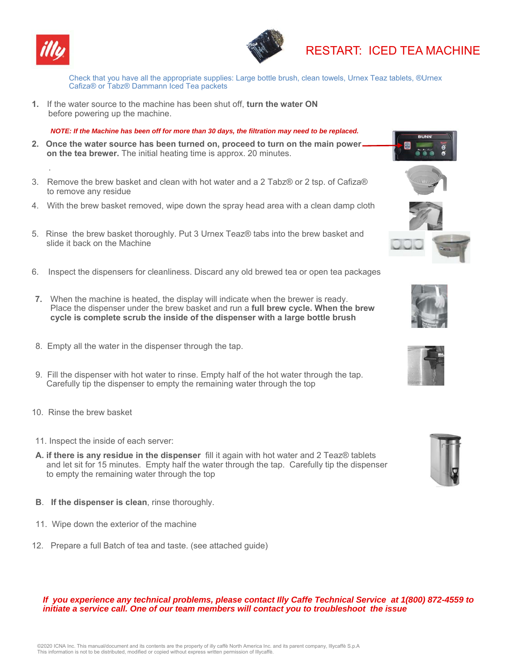

.



# RESTART: ICED TEA MACHINE

Check that you have all the appropriate supplies: Large bottle brush, clean towels, Urnex Teaz tablets, ®Urnex Cafiza® or Tabz® Dammann Iced Tea packets

**1.** If the water source to the machine has been shut off, **turn the water ON**  before powering up the machine.

 *NOTE: If the Machine has been off for more than 30 days, the filtration may need to be replaced.* 

- **2. Once the water source has been turned on, proceed to turn on the main power on the tea brewer.** The initial heating time is approx. 20 minutes.
- 3. Remove the brew basket and clean with hot water and a 2 Tabz® or 2 tsp. of Cafiza® to remove any residue
- 4. With the brew basket removed, wipe down the spray head area with a clean damp cloth
- 5. Rinse the brew basket thoroughly. Put 3 Urnex Teaz® tabs into the brew basket and slide it back on the Machine
- 6. Inspect the dispensers for cleanliness. Discard any old brewed tea or open tea packages
- **7.** When the machine is heated, the display will indicate when the brewer is ready. Place the dispenser under the brew basket and run a **full brew cycle. When the brew cycle is complete scrub the inside of the dispenser with a large bottle brush**
- 8. Empty all the water in the dispenser through the tap.
- 9. Fill the dispenser with hot water to rinse. Empty half of the hot water through the tap. Carefully tip the dispenser to empty the remaining water through the top
- 10. Rinse the brew basket
- 11. Inspect the inside of each server:
- **A. if there is any residue in the dispenser** fill it again with hot water and 2 Teaz® tablets and let sit for 15 minutes. Empty half the water through the tap. Carefully tip the dispenser to empty the remaining water through the top
- **B**. **If the dispenser is clean**, rinse thoroughly.
- 11. Wipe down the exterior of the machine
- 12. Prepare a full Batch of tea and taste. (see attached guide)

## *If you experience any technical problems, please contact Illy Caffe Technical Service at 1(800) 872-4559 to initiate a service call. One of our team members will contact you to troubleshoot the issue*







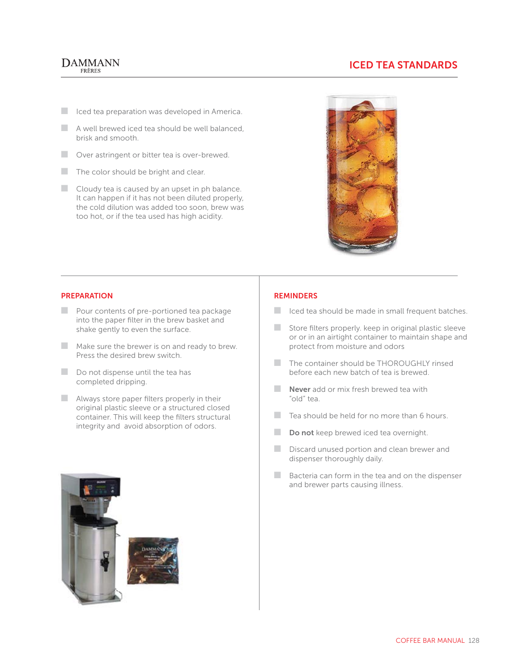## **DAMMANN** FRÈRES

# **ICED TEA STANDARDS**

- C Iced tea preparation was developed in America.
- $\Box$  A well brewed iced tea should be well balanced. brisk and smooth.
- **Q** Over astringent or bitter tea is over-brewed.
- $\blacksquare$  The color should be bright and clear.
- $\Box$  Cloudy tea is caused by an upset in ph balance. It can happen if it has not been diluted properly, the cold dilution was added too soon, brew was too hot, or if the tea used has high acidity.



### **PREPARATION**

- $\Box$  Pour contents of pre-portioned tea package into the paper filter in the brew basket and shake gently to even the surface.
- $\blacksquare$  Make sure the brewer is on and ready to brew. Press the desired brew switch.
- $\Box$  Do not dispense until the tea has completed dripping.
- $\blacksquare$  Always store paper filters properly in their original plastic sleeve or a structured closed container. This will keep the filters structural integrity and avoid absorption of odors.





### **REMINDERS**

- Iced tea should be made in small frequent batches.
- $\Box$  Store filters properly. keep in original plastic sleeve or or in an airtight container to maintain shape and protect from moisture and odors
- The container should be THOROUGHLY rinsed before each new batch of tea is brewed.
- **Never** add or mix fresh brewed tea with "old" tea.
- $\Box$  Tea should be held for no more than 6 hours.
- **Do not** keep brewed iced tea overnight.
- Discard unused portion and clean brewer and dispenser thoroughly daily.
- $\Box$  Bacteria can form in the tea and on the dispenser and brewer parts causing illness.